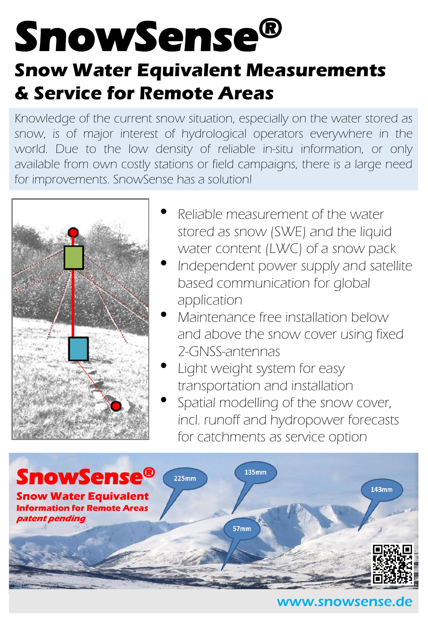# **SnowSense® Snow Water Equivalent Measurements & Service for Remote Areas**

Knowledge of the current snow situation, especially on the water stored as snow, is of major interest of hydrological operators everywhere in the world. Due to the low density of reliable in-situ information, or only available from own costly stations or field campaigns, there is a large need for improvements. SnowSense has a solution!



- Reliable measurement of the water stored as snow (SWE) and the liquid water content (LWC) of a snow pack
- Independent power supply and satellite based communication for global application
- Maintenance free installation below and above the snow cover using fixed 2-GNSS-antennas
- Light weight system for easy transportation and installation
- Spatial modelling of the snow cover, incl. runoff and hydropower forecasts for catchments as service option



### www.snowsense.de www.snowsense.de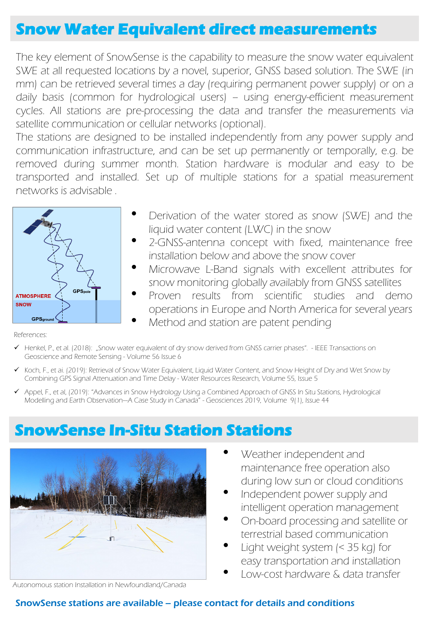## **Snow Water Equivalent direct measurements**

The key element of SnowSense is the capability to measure the snow water equivalent SWE at all requested locations by a novel, superior, GNSS based solution. The SWE (in mm) can be retrieved several times a day (requiring permanent power supply) or on a daily basis (common for hydrological users) – using energy-efficient measurement cycles. All stations are pre-processing the data and transfer the measurements via satellite communication or cellular networks (optional).

The stations are designed to be installed independently from any power supply and communication infrastructure, and can be set up permanently or temporally, e.g. be removed during summer month. Station hardware is modular and easy to be transported and installed. Set up of multiple stations for a spatial measurement networks is advisable .



- Derivation of the water stored as snow (SWE) and the liquid water content (LWC) in the snow
- 2-GNSS-antenna concept with fixed, maintenance free installation below and above the snow cover
- Microwave L-Band signals with excellent attributes for snow monitoring globally availably from GNSS satellites
- Proven results from scientific studies and demo operations in Europe and North America for several years
	- Method and station are patent pending

References:

- ✓ Henkel, P., et al. (2018): "Snow water equivalent of dry snow derived from GNSS carrier phases". IEEE Transactions on Geoscience and Remote Sensing - Volume 56 Issue 6
- ✓ Koch, F., et ai. (2019): Retrieval of Snow Water Equivalent, Liquid Water Content, and Snow Height of Dry and Wet Snow by Combining GPS Signal Attenuation and Time Delay - Water Resources Research, Volume 55, Issue 5
- ✓ Appel, F., et al, (2019): "Advances in Snow Hydrology Using a Combined Approach of GNSS In Situ Stations, Hydrological Modelling and Earth Observation—A Case Study in Canada" - Geosciences 2019, Volume 9(1), Issue 44

# **SnowSense In-Situ Station Stations**



Weather independent and maintenance free operation also during low sun or cloud conditions

- Independent power supply and intelligent operation management
- On-board processing and satellite or terrestrial based communication
- Light weight system  $\approx$  35 kg) for easy transportation and installation
- Low-cost hardware & data transfer

Autonomous station Installation in Newfoundland/Canada

#### SnowSense stations are available – please contact for details and conditions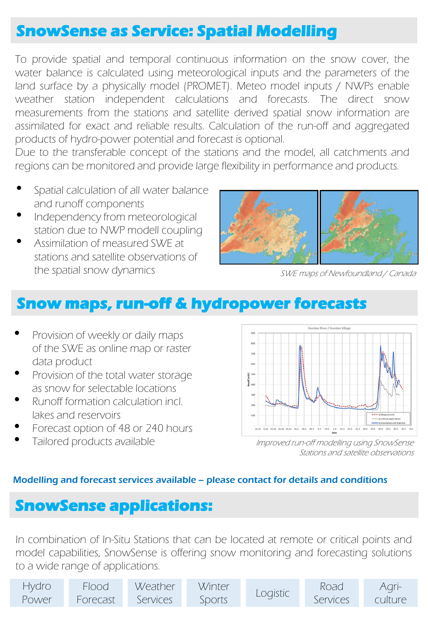## **SnowSense as Service: Spatial Modelling**

To provide spatial and temporal continuous information on the snow cover, the water balance is calculated using meteorological inputs and the parameters of the land surface by a physically model (PROMET). Meteo model inputs / NWPs enable weather station independent calculations and forecasts. The direct snow measurements from the stations and satellite derived spatial snow information are assimilated for exact and reliable results. Calculation of the run-off and aggregated products of hydro-power potential and forecast is optional.

Due to the transferable concept of the stations and the model, all catchments and regions can be monitored and provide large flexibility in performance and products.

- Spatial calculation of all water balance and runoff components
- Independency from meteorological station due to NWP modell coupling
- Assimilation of measured SWE at stations and satellite observations of the spatial snow dynamics



SWE maps of Newfoundland / Canada

## **Snow maps, run-off & hydropower forecasts**

- Provision of weekly or daily maps of the SWE as online map or raster data product
- Provision of the total water storage as snow for selectable locations
- Runoff formation calculation incl. lakes and reservoirs
- Forecast option of 48 or 240 hours
- Tailored products available



Improved run-off modelling using SnowSense Stations and satellite observations

#### Modelling and forecast services available – please contact for details and conditions

### **SnowSense applications:**

In combination of In-Situ Stations that can be located at remote or critical points and model capabilities, SnowSense is offering snow monitoring and forecasting solutions to a wide range of applications.

| Hydro I | Flood    | Weather  | Winter | Logistic | Road     | Agri-   |
|---------|----------|----------|--------|----------|----------|---------|
| Power   | Forecast | Services | Sports |          | Services | culture |